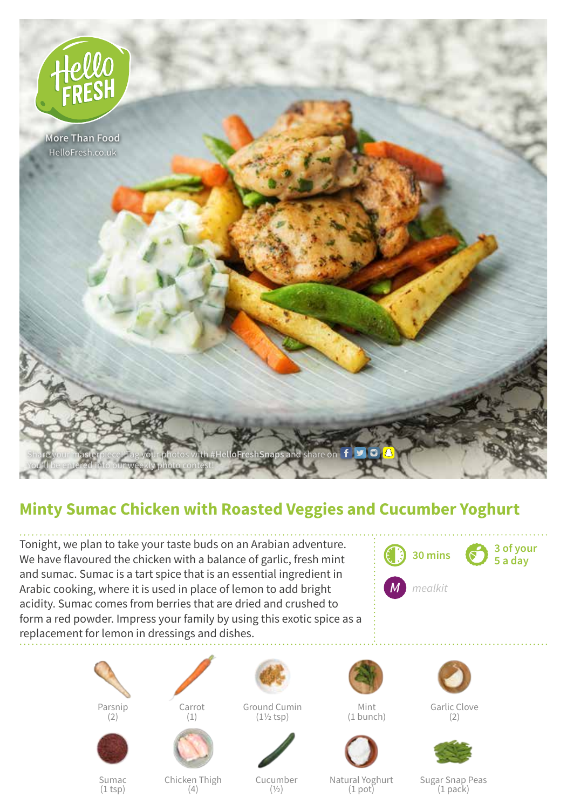

## **Minty Sumac Chicken with Roasted Veggies and Cucumber Yoghurt**

Tonight, we plan to take your taste buds on an Arabian adventure. We have flavoured the chicken with a balance of garlic, fresh mint and sumac. Sumac is a tart spice that is an essential ingredient in Arabic cooking, where it is used in place of lemon to add bright acidity. Sumac comes from berries that are dried and crushed to form a red powder. Impress your family by using this exotic spice as a replacement for lemon in dressings and dishes.









Sumac  $(1$  tsp $)$ 



Chicken Thigh (4)

Ground Cumin (1½ tsp)



Cucumber  $(1/2)$ 



Mint (1 bunch)



Natural Yoghurt (1 pot)





Sugar Snap Peas (1 pack)